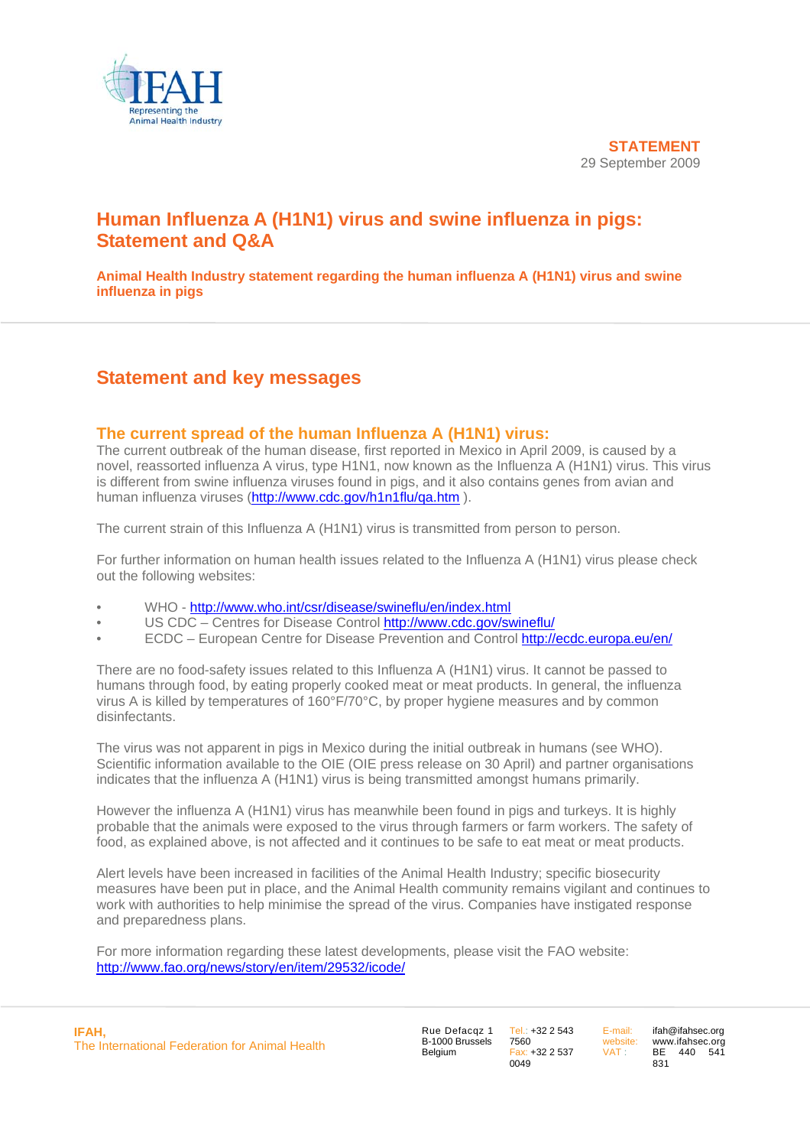

# **Human Influenza A (H1N1) virus and swine influenza in pigs: Statement and Q&A**

**Animal Health Industry statement regarding the human influenza A (H1N1) virus and swine influenza in pigs** 

## **Statement and key messages**

## **The current spread of the human Influenza A (H1N1) virus:**

The current outbreak of the human disease, first reported in Mexico in April 2009, is caused by a novel, reassorted influenza A virus, type H1N1, now known as the Influenza A (H1N1) virus. This virus is different from swine influenza viruses found in pigs, and it also contains genes from avian and human influenza viruses (<http://www.cdc.gov/h1n1flu/qa.htm>).

The current strain of this Influenza A (H1N1) virus is transmitted from person to person.

For further information on human health issues related to the Influenza A (H1N1) virus please check out the following websites:

- WHO <http://www.who.int/csr/disease/swineflu/en/index.html>
- US CDC Centres for Disease Control http://www.cdc.gov/swineflu/
- ECDC European Centre for Disease Prevention and Control<http://ecdc.europa.eu/en/>

There are no food-safety issues related to this Influenza A (H1N1) virus. It cannot be passed to humans through food, by eating properly cooked meat or meat products. In general, the influenza virus A is killed by temperatures of 160°F/70°C, by proper hygiene measures and by common disinfectants.

The virus was not apparent in pigs in Mexico during the initial outbreak in humans (see WHO). Scientific information available to the OIE (OIE press release on 30 April) and partner organisations indicates that the influenza A (H1N1) virus is being transmitted amongst humans primarily.

However the influenza A (H1N1) virus has meanwhile been found in pigs and turkeys. It is highly probable that the animals were exposed to the virus through farmers or farm workers. The safety of food, as explained above, is not affected and it continues to be safe to eat meat or meat products.

Alert levels have been increased in facilities of the Animal Health Industry; specific biosecurity measures have been put in place, and the Animal Health community remains vigilant and continues to work with authorities to help minimise the spread of the virus. Companies have instigated response and preparedness plans.

For more information regarding these latest developments, please visit the FAO website: <http://www.fao.org/news/story/en/item/29532/icode/>

Rue Defacqz 1 B-1000 Brussels Belgium

Tel.: +32 2 543 7560 Fax: +32 2 537  $0049$ 

E-mail: website: VAT :

ifah@ifahsec.org www.ifahsec.org BE 440 541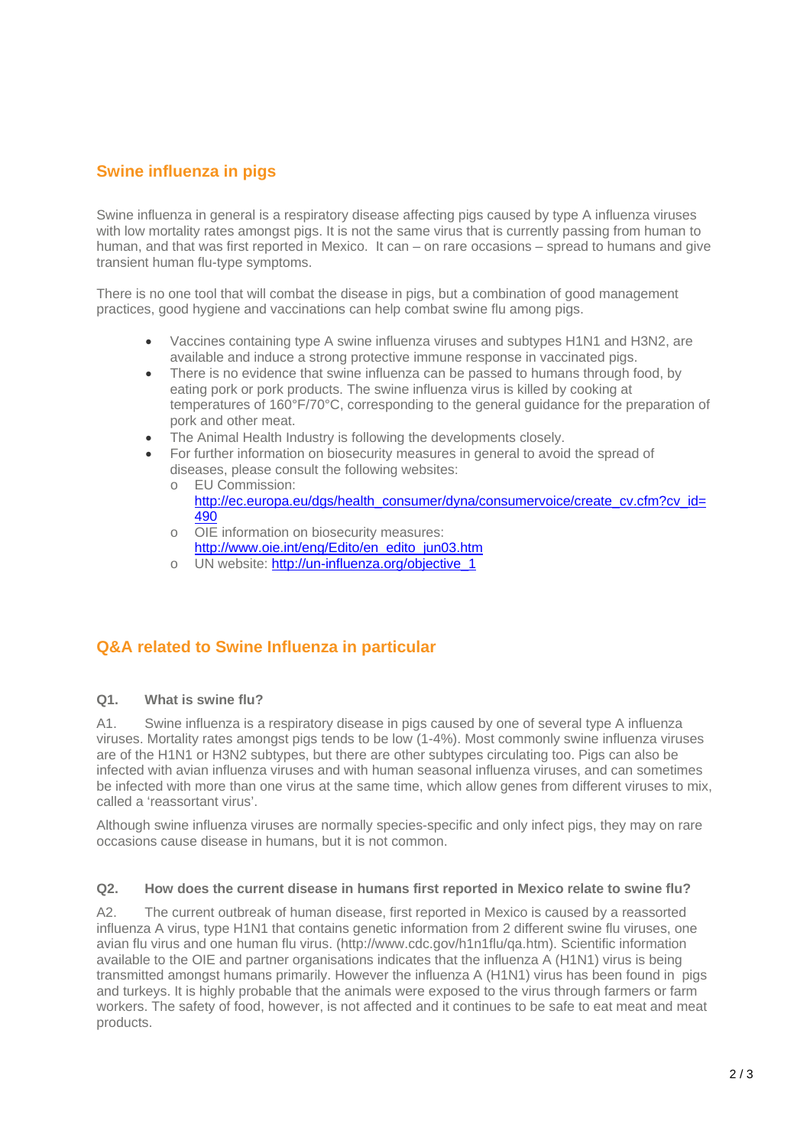## **Swine influenza in pigs**

Swine influenza in general is a respiratory disease affecting pigs caused by type A influenza viruses with low mortality rates amongst pigs. It is not the same virus that is currently passing from human to human, and that was first reported in Mexico. It can – on rare occasions – spread to humans and give transient human flu-type symptoms.

There is no one tool that will combat the disease in pigs, but a combination of good management practices, good hygiene and vaccinations can help combat swine flu among pigs.

- Vaccines containing type A swine influenza viruses and subtypes H1N1 and H3N2, are available and induce a strong protective immune response in vaccinated pigs.
- There is no evidence that swine influenza can be passed to humans through food, by eating pork or pork products. The swine influenza virus is killed by cooking at temperatures of 160°F/70°C, corresponding to the general guidance for the preparation of pork and other meat.
- The Animal Health Industry is following the developments closely.
- For further information on biosecurity measures in general to avoid the spread of diseases, please consult the following websites:
	- o EU Commission: [http://ec.europa.eu/dgs/health\\_consumer/dyna/consumervoice/create\\_cv.cfm?cv\\_id=](http://ec.europa.eu/dgs/health_consumer/dyna/consumervoice/create_cv.cfm?cv_id=490) [490](http://ec.europa.eu/dgs/health_consumer/dyna/consumervoice/create_cv.cfm?cv_id=490)
	- o OIE information on biosecurity measures: http://www.oie.int/eng/Edito/en\_edito\_jun03.htm
	- o UN website: http://un-influenza.org/objective\_1

## **Q&A related to Swine Influenza in particular**

#### **Q1. What is swine flu?**

A1. Swine influenza is a respiratory disease in pigs caused by one of several type A influenza viruses. Mortality rates amongst pigs tends to be low (1-4%). Most commonly swine influenza viruses are of the H1N1 or H3N2 subtypes, but there are other subtypes circulating too. Pigs can also be infected with avian influenza viruses and with human seasonal influenza viruses, and can sometimes be infected with more than one virus at the same time, which allow genes from different viruses to mix, called a 'reassortant virus'.

Although swine influenza viruses are normally species-specific and only infect pigs, they may on rare occasions cause disease in humans, but it is not common.

#### **Q2. How does the current disease in humans first reported in Mexico relate to swine flu?**

A2. The current outbreak of human disease, first reported in Mexico is caused by a reassorted influenza A virus, type H1N1 that contains genetic information from 2 different swine flu viruses, one avian flu virus and one human flu virus. (http://www.cdc.gov/h1n1flu/qa.htm). Scientific information available to the OIE and partner organisations indicates that the influenza A (H1N1) virus is being transmitted amongst humans primarily. However the influenza A (H1N1) virus has been found in pigs and turkeys. It is highly probable that the animals were exposed to the virus through farmers or farm workers. The safety of food, however, is not affected and it continues to be safe to eat meat and meat products.